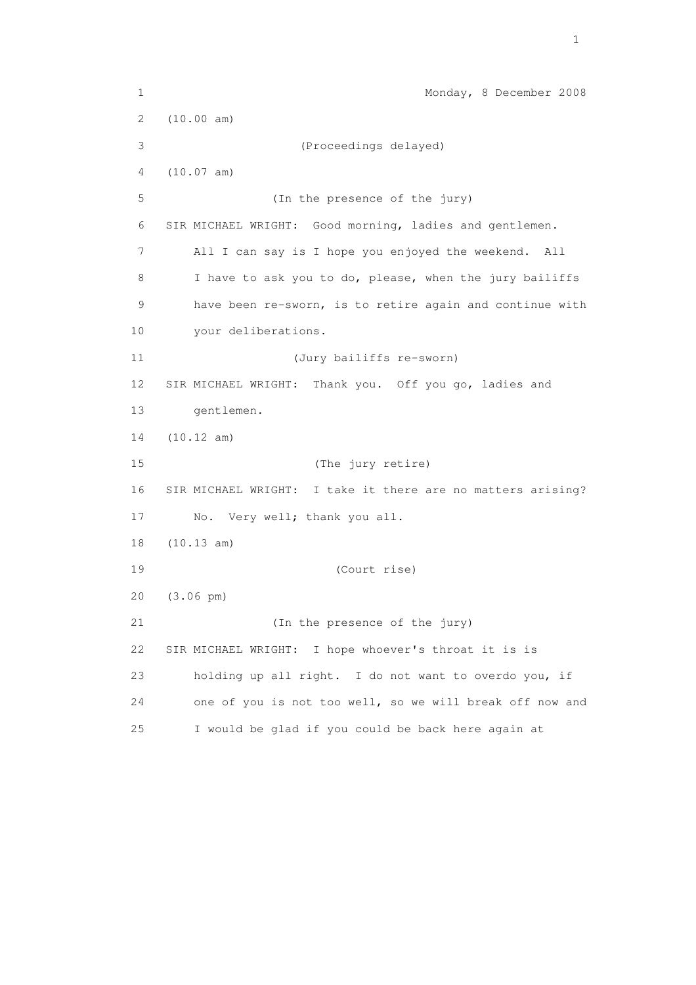1 Monday, 8 December 2008 2 (10.00 am) 3 (Proceedings delayed) 4 (10.07 am) 5 (In the presence of the jury) 6 SIR MICHAEL WRIGHT: Good morning, ladies and gentlemen. 7 All I can say is I hope you enjoyed the weekend. All 8 I have to ask you to do, please, when the jury bailiffs 9 have been re-sworn, is to retire again and continue with 10 your deliberations. 11 (Jury bailiffs re-sworn) 12 SIR MICHAEL WRIGHT: Thank you. Off you go, ladies and 13 gentlemen. 14 (10.12 am) 15 (The jury retire) 16 SIR MICHAEL WRIGHT: I take it there are no matters arising? 17 No. Very well; thank you all. 18 (10.13 am) 19 (Court rise) 20 (3.06 pm) 21 (In the presence of the jury) 22 SIR MICHAEL WRIGHT: I hope whoever's throat it is is 23 holding up all right. I do not want to overdo you, if 24 one of you is not too well, so we will break off now and 25 I would be glad if you could be back here again at

the contract of the contract of the contract of the contract of the contract of the contract of the contract of the contract of the contract of the contract of the contract of the contract of the contract of the contract o